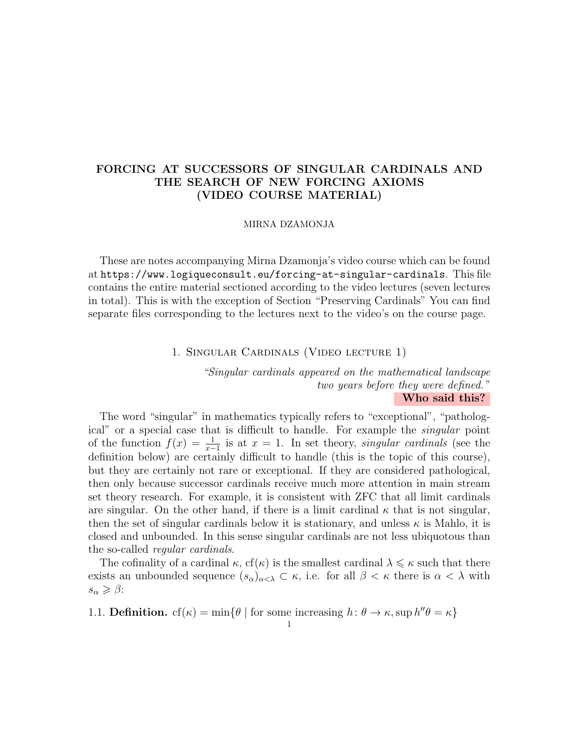# FORCING AT SUCCESSORS OF SINGULAR CARDINALS AND THE SEARCH OF NEW FORCING AXIOMS (VIDEO COURSE MATERIAL)

#### MIRNA DZAMONJA

These are notes accompanying Mirna Dzamonja's video course which can be found at https://www.logiqueconsult.eu/forcing-at-singular-cardinals. This file contains the entire material sectioned according to the video lectures (seven lectures in total). This is with the exception of Section "Preserving Cardinals" You can find separate files corresponding to the lectures next to the video's on the course page.

### 1. Singular Cardinals (Video lecture 1)

"Singular cardinals appeared on the mathematical landscape two years before they were defined." Who said this?

The word "singular" in mathematics typically refers to "exceptional", "pathological" or a special case that is difficult to handle. For example the singular point of the function  $f(x) = \frac{1}{x-1}$  is at  $x = 1$ . In set theory, singular cardinals (see the definition below) are certainly difficult to handle (this is the topic of this course), but they are certainly not rare or exceptional. If they are considered pathological, then only because successor cardinals receive much more attention in main stream set theory research. For example, it is consistent with ZFC that all limit cardinals are singular. On the other hand, if there is a limit cardinal  $\kappa$  that is not singular, then the set of singular cardinals below it is stationary, and unless  $\kappa$  is Mahlo, it is closed and unbounded. In this sense singular cardinals are not less ubiquotous than the so-called regular cardinals.

The cofinality of a cardinal  $\kappa$ ,  $cf(\kappa)$  is the smallest cardinal  $\lambda \leq \kappa$  such that there exists an unbounded sequence  $(s_\alpha)_{\alpha<\lambda}\subset\kappa$ , i.e. for all  $\beta<\kappa$  there is  $\alpha<\lambda$  with  $s_{\alpha} \geqslant \beta$ :

1.1. **Definition.**  $cf(\kappa) = \min\{\theta \mid \text{for some increasing } h: \theta \to \kappa, \sup h''\theta = \kappa\}$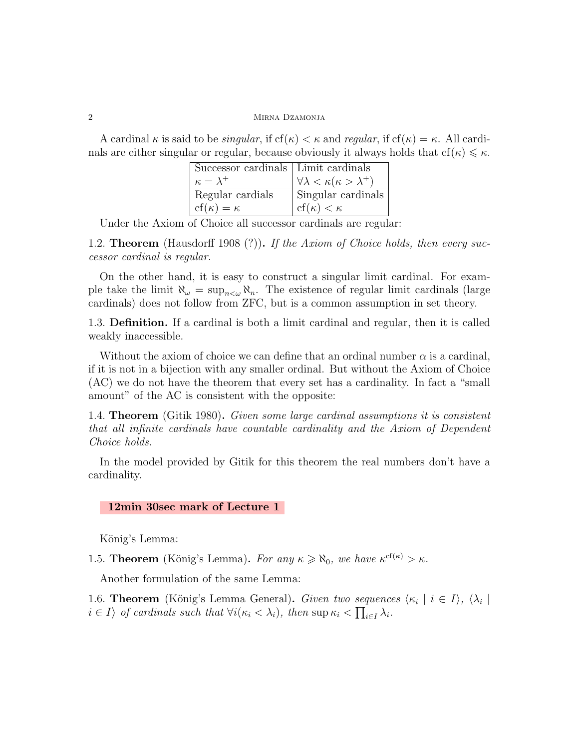A cardinal  $\kappa$  is said to be *singular*, if  $cf(\kappa) < \kappa$  and *regular*, if  $cf(\kappa) = \kappa$ . All cardinals are either singular or regular, because obviously it always holds that  $cf(\kappa) \leq \kappa$ .

| Successor cardinals   Limit cardinals |                                                |
|---------------------------------------|------------------------------------------------|
| $\kappa = \lambda^+$                  | $\forall \lambda < \kappa(\kappa > \lambda^+)$ |
| Regular cardials                      | Singular cardinals                             |
| $cf(\kappa) = \kappa$                 | $\vert \text{cf}(\kappa) < \kappa$             |

Under the Axiom of Choice all successor cardinals are regular:

1.2. **Theorem** (Hausdorff 1908 (?)). If the Axiom of Choice holds, then every successor cardinal is regular.

On the other hand, it is easy to construct a singular limit cardinal. For example take the limit  $\aleph_{\omega} = \sup_{n \leq \omega} \aleph_n$ . The existence of regular limit cardinals (large cardinals) does not follow from ZFC, but is a common assumption in set theory.

1.3. Definition. If a cardinal is both a limit cardinal and regular, then it is called weakly inaccessible.

Without the axiom of choice we can define that an ordinal number  $\alpha$  is a cardinal, if it is not in a bijection with any smaller ordinal. But without the Axiom of Choice (AC) we do not have the theorem that every set has a cardinality. In fact a "small amount" of the AC is consistent with the opposite:

1.4. Theorem (Gitik 1980). Given some large cardinal assumptions it is consistent that all infinite cardinals have countable cardinality and the Axiom of Dependent Choice holds.

In the model provided by Gitik for this theorem the real numbers don't have a cardinality.

### 12min 30sec mark of Lecture 1

König's Lemma:

1.5. **Theorem** (König's Lemma). For any  $\kappa \ge \aleph_0$ , we have  $\kappa^{cf(\kappa)} > \kappa$ .

Another formulation of the same Lemma:

1.6. **Theorem** (König's Lemma General). Given two sequences  $\langle \kappa_i | i \in I \rangle$ ,  $\langle \lambda_i |$  $i \in I$  of cardinals such that  $\forall i(\kappa_i < \lambda_i)$ , then  $\sup \kappa_i < \prod_{i \in I} \lambda_i$ .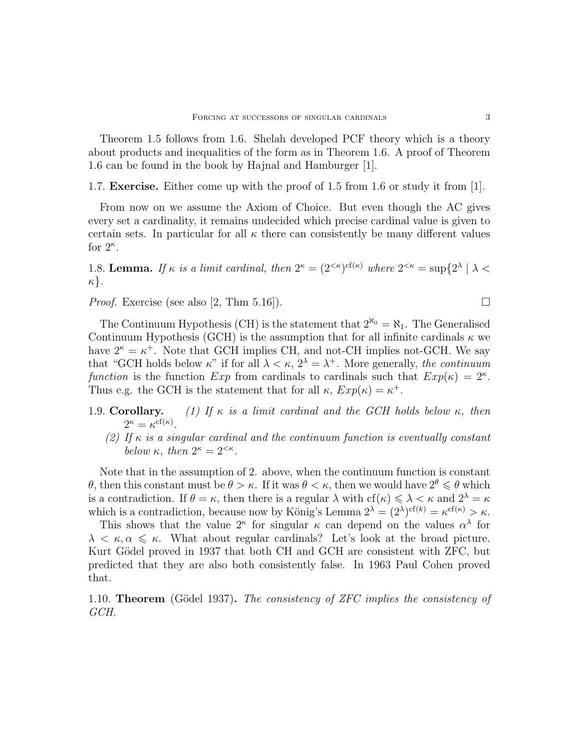Theorem 1.5 follows from 1.6. Shelah developed PCF theory which is a theory about products and inequalities of the form as in Theorem 1.6. A proof of Theorem 1.6 can be found in the book by Hajnal and Hamburger [1].

1.7. Exercise. Either come up with the proof of 1.5 from 1.6 or study it from [1].

From now on we assume the Axiom of Choice. But even though the AC gives every set a cardinality, it remains undecided which precise cardinal value is given to certain sets. In particular for all  $\kappa$  there can consistently be many different values for  $2^{\kappa}$ .

1.8. Lemma. If  $\kappa$  is a limit cardinal, then  $2^{\kappa} = (2^{<\kappa})^{\text{cf}(\kappa)}$  where  $2^{<\kappa} = \sup\{2^{\lambda} \mid \lambda < \kappa\}$ κ}.

*Proof.* Exercise (see also [2, Thm 5.16]).

The Continuum Hypothesis (CH) is the statement that  $2^{\aleph_0} = \aleph_1$ . The Generalised Continuum Hypothesis (GCH) is the assumption that for all infinite cardinals  $\kappa$  we have  $2^{\kappa} = \kappa^+$ . Note that GCH implies CH, and not-CH implies not-GCH. We say that "GCH holds below  $\kappa$ " if for all  $\lambda < \kappa$ ,  $2^{\lambda} = \lambda^{+}$ . More generally, the continuum function is the function  $Exp$  from cardinals to cardinals such that  $Exp(\kappa) = 2^{\kappa}$ . Thus e.g. the GCH is the statement that for all  $\kappa$ ,  $Exp(\kappa) = \kappa^+$ .

- 1.9. Corollary. (1) If  $\kappa$  is a limit cardinal and the GCH holds below  $\kappa$ , then  $2^{\kappa} = \kappa^{\mathrm{cf}(\kappa)}.$ 
	- (2) If  $\kappa$  is a singular cardinal and the continuum function is eventually constant below  $\kappa$ , then  $2^{\kappa} = 2^{<\kappa}$ .

Note that in the assumption of 2. above, when the continuum function is constant θ, then this constant must be  $\theta > \kappa$ . If it was  $\theta < \kappa$ , then we would have  $2^{\theta} \le \theta$  which is a contradiction. If  $\theta = \kappa$ , then there is a regular  $\lambda$  with  $cf(\kappa) \leq \lambda < \kappa$  and  $2^{\lambda} = \kappa$ which is a contradiction, because now by König's Lemma  $2^{\lambda} = (2^{\lambda})^{cf(k)} = \kappa^{cf(\kappa)} > \kappa$ .

This shows that the value  $2^{\kappa}$  for singular  $\kappa$  can depend on the values  $\alpha^{\lambda}$  for  $\lambda < \kappa, \alpha \leq \kappa$ . What about regular cardinals? Let's look at the broad picture. Kurt Gödel proved in 1937 that both CH and GCH are consistent with ZFC, but predicted that they are also both consistently false. In 1963 Paul Cohen proved that.

1.10. **Theorem** (Gödel 1937). The consistency of ZFC implies the consistency of GCH.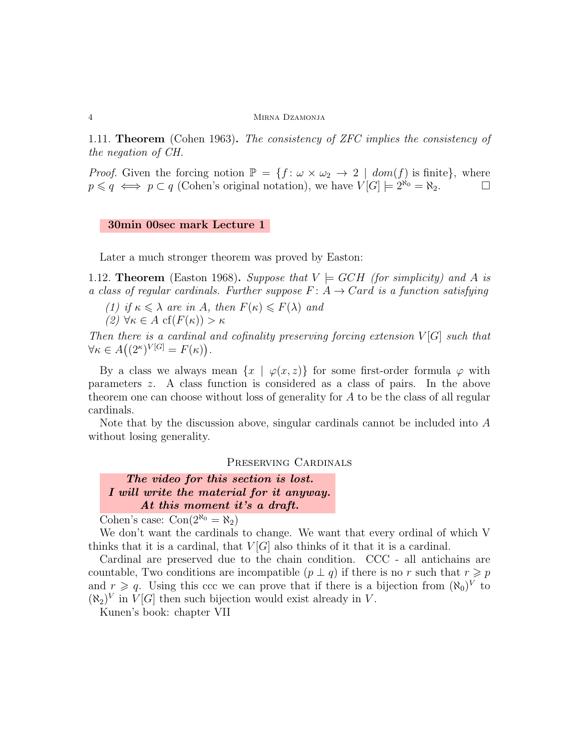1.11. Theorem (Cohen 1963). The consistency of ZFC implies the consistency of the negation of CH.

*Proof.* Given the forcing notion  $\mathbb{P} = \{f : \omega \times \omega_2 \to 2 \mid dom(f) \text{ is finite}\},\$  $p \leq q \iff p \subset q$  (Cohen's original notation), we have  $V[G] \models 2^{\aleph_0} = \aleph_2$ .

#### 30min 00sec mark Lecture 1

Later a much stronger theorem was proved by Easton:

1.12. **Theorem** (Easton 1968). Suppose that  $V \models GCH$  (for simplicity) and A is a class of regular cardinals. Further suppose  $F: A \rightarrow Card$  is a function satisfying

(1) if  $\kappa \leq \lambda$  are in A, then  $F(\kappa) \leq F(\lambda)$  and

(2)  $\forall \kappa \in A \operatorname{cf}(F(\kappa)) > \kappa$ 

Then there is a cardinal and cofinality preserving forcing extension  $V[G]$  such that  $\forall \kappa \in A((2^{\kappa})^{V[G]} = F(\kappa)).$ 

By a class we always mean  $\{x \mid \varphi(x, z)\}\)$  for some first-order formula  $\varphi$  with parameters z. A class function is considered as a class of pairs. In the above theorem one can choose without loss of generality for A to be the class of all regular cardinals.

Note that by the discussion above, singular cardinals cannot be included into A without losing generality.

Preserving Cardinals

The video for this section is lost. I will write the material for it anyway. At this moment it's a draft.

Cohen's case:  $Con(2^{\aleph_0} = \aleph_2)$ 

We don't want the cardinals to change. We want that every ordinal of which V thinks that it is a cardinal, that  $V|G|$  also thinks of it that it is a cardinal.

Cardinal are preserved due to the chain condition. CCC - all antichains are countable, Two conditions are incompatible  $(p \perp q)$  if there is no r such that  $r \geq p$ and  $r \geqslant q$ . Using this ccc we can prove that if there is a bijection from  $(\aleph_0)^V$  to  $(\aleph_2)^V$  in  $V[G]$  then such bijection would exist already in V.

Kunen's book: chapter VII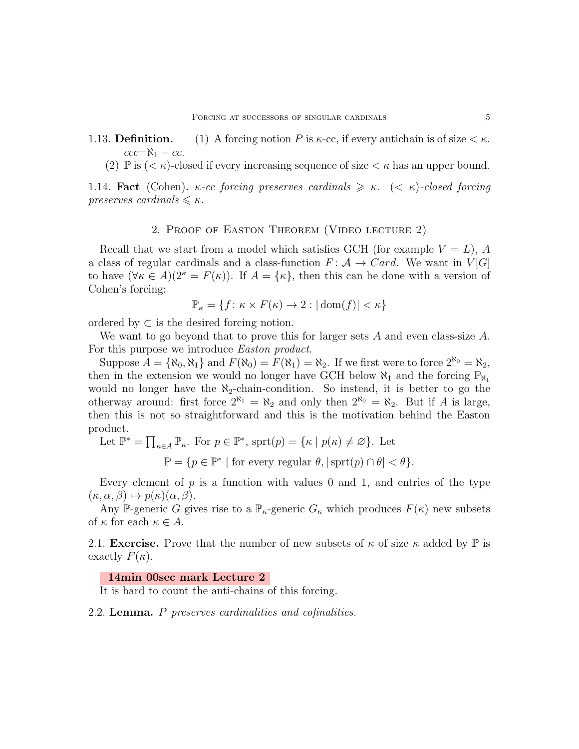1.13. **Definition.** (1) A forcing notion P is  $\kappa$ -cc, if every antichain is of size  $\lt \kappa$ .  $ccc=\aleph_1 - cc$ .

(2)  $\mathbb{P}$  is  $( $\kappa$ )-closed if every increasing sequence of size  $\kappa$  has an upper bound.$ 

1.14. Fact (Cohen). κ-cc forcing preserves cardinals  $\geq \kappa$ . (< κ)-closed forcing preserves cardinals  $\leq \kappa$ .

#### 2. Proof of Easton Theorem (Video lecture 2)

Recall that we start from a model which satisfies GCH (for example  $V = L$ ), A a class of regular cardinals and a class-function  $F: A \rightarrow Card$ . We want in  $V[G]$ to have  $(\forall \kappa \in A)(2^{\kappa} = F(\kappa))$ . If  $A = {\kappa}$ , then this can be done with a version of Cohen's forcing:

$$
\mathbb{P}_{\kappa} = \{ f \colon \kappa \times F(\kappa) \to 2 : |\operatorname{dom}(f)| < \kappa \}
$$

ordered by  $\subset$  is the desired forcing notion.

We want to go beyond that to prove this for larger sets A and even class-size  $A$ . For this purpose we introduce *Easton product*.

Suppose  $A = {\aleph_0, \aleph_1}$  and  $F(\aleph_0) = F(\aleph_1) = \aleph_2$ . If we first were to force  $2^{\aleph_0} = \aleph_2$ , then in the extension we would no longer have GCH below  $\aleph_1$  and the forcing  $\mathbb{P}_{\aleph_1}$ would no longer have the  $\aleph_2$ -chain-condition. So instead, it is better to go the otherway around: first force  $2^{\aleph_1} = \aleph_2$  and only then  $2^{\aleph_0} = \aleph_2$ . But if A is large, then this is not so straightforward and this is the motivation behind the Easton product.

Let  $\mathbb{P}^* = \prod_{\kappa \in A} \mathbb{P}_{\kappa}$ . For  $p \in \mathbb{P}^*$ , sprt $(p) = {\kappa \mid p(\kappa) \neq \varnothing}$ . Let

 $\mathbb{P} = \{p \in \mathbb{P}^* \mid \text{for every regular } \theta, |\text{sprt}(p) \cap \theta| < \theta\}.$ 

Every element of  $p$  is a function with values 0 and 1, and entries of the type  $(\kappa, \alpha, \beta) \mapsto p(\kappa)(\alpha, \beta).$ 

Any P-generic G gives rise to a  $\mathbb{P}_{\kappa}$ -generic  $G_{\kappa}$  which produces  $F(\kappa)$  new subsets of  $\kappa$  for each  $\kappa \in A$ .

2.1. **Exercise.** Prove that the number of new subsets of  $\kappa$  of size  $\kappa$  added by  $\mathbb{P}$  is exactly  $F(\kappa)$ .

## 14min 00sec mark Lecture 2

It is hard to count the anti-chains of this forcing.

2.2. Lemma. P preserves cardinalities and cofinalities.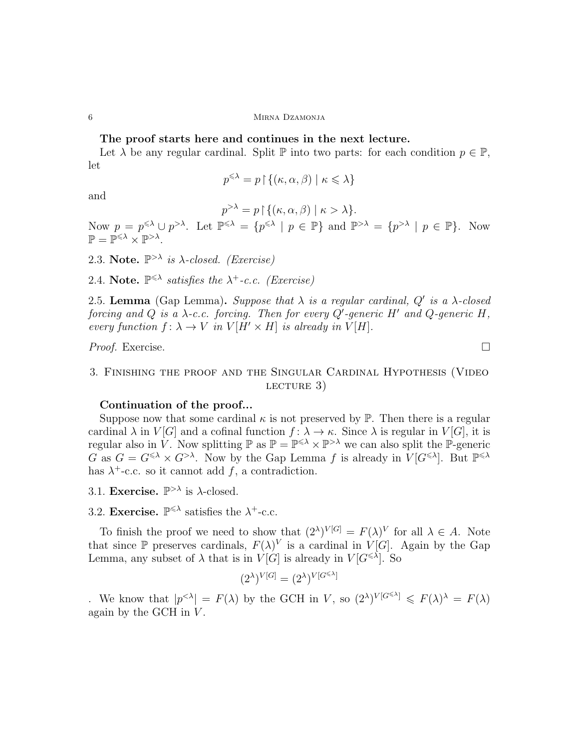# The proof starts here and continues in the next lecture.

Let  $\lambda$  be any regular cardinal. Split  $\mathbb P$  into two parts: for each condition  $p \in \mathbb P$ , let

$$
p^{\leqslant \lambda} = p \mathbin{\restriction} \{(\kappa, \alpha, \beta) \mid \kappa \leqslant \lambda\}
$$

and

 $p^{>\lambda} = p \upharpoonright \{(\kappa, \alpha, \beta) \mid \kappa > \lambda\}.$ 

Now  $p = p^{\leq \lambda} \cup p^{> \lambda}$ . Let  $\mathbb{P}^{\leq \lambda} = \{p^{\leq \lambda} \mid p \in \mathbb{P}\}\$  and  $\mathbb{P}^{> \lambda} = \{p^{> \lambda} \mid p \in \mathbb{P}\}\$ . Now  $\mathbb{P} = \mathbb{P}^{\leqslant \lambda} \times \mathbb{P}^{> \lambda}.$ 

2.3. Note.  $\mathbb{P}^{>\lambda}$  is  $\lambda$ -closed. (Exercise)

2.4. Note.  $\mathbb{P}^{\leq \lambda}$  satisfies the  $\lambda^+$ -c.c. (Exercise)

2.5. Lemma (Gap Lemma). Suppose that  $\lambda$  is a regular cardinal, Q' is a  $\lambda$ -closed forcing and Q is a  $\lambda$ -c.c. forcing. Then for every Q'-generic H' and Q-generic H, every function  $f: \lambda \to V$  in  $V[H' \times H]$  is already in  $V[H]$ .

*Proof.* Exercise.  $\Box$ 

3. Finishing the proof and the Singular Cardinal Hypothesis (Video lecture 3)

# Continuation of the proof...

Suppose now that some cardinal  $\kappa$  is not preserved by  $\mathbb{P}$ . Then there is a regular cardinal  $\lambda$  in  $V[G]$  and a cofinal function  $f: \lambda \to \kappa$ . Since  $\lambda$  is regular in  $V[G]$ , it is regular also in  $V$ . Now splitting  $\mathbb{P}$  as  $\mathbb{P} = \mathbb{P}^{\leq \lambda} \times \mathbb{P}^{> \lambda}$  we can also split the  $\mathbb{P}$ -generic  $G$  as  $G = G^{\leq \lambda} \times G^{> \lambda}$ . Now by the Gap Lemma f is already in  $V[G^{\leq \lambda}]$ . But  $\mathbb{P}^{\leq \lambda}$ has  $\lambda^+$ -c.c. so it cannot add f, a contradiction.

3.1. Exercise.  $\mathbb{P}^{>\lambda}$  is  $\lambda$ -closed.

3.2. Exercise.  $\mathbb{P}^{\leq \lambda}$  satisfies the  $\lambda^{+}$ -c.c.

To finish the proof we need to show that  $(2^{\lambda})^{V[G]} = F(\lambda)^V$  for all  $\lambda \in A$ . Note that since  $\mathbb P$  preserves cardinals,  $F(\lambda)^V$  is a cardinal in  $V[G]$ . Again by the Gap Lemma, any subset of  $\lambda$  that is in  $V[G]$  is already in  $V[G^{\leq \lambda}]$ . So

$$
(2^{\lambda})^{V[G]} = (2^{\lambda})^{V[G^{\leq \lambda}]}
$$

. We know that  $|p^{<\lambda}| = F(\lambda)$  by the GCH in V, so  $(2^{\lambda})^{V[G^{\leq \lambda}]} \leq F(\lambda)^{\lambda} = F(\lambda)$ again by the GCH in  $V$ .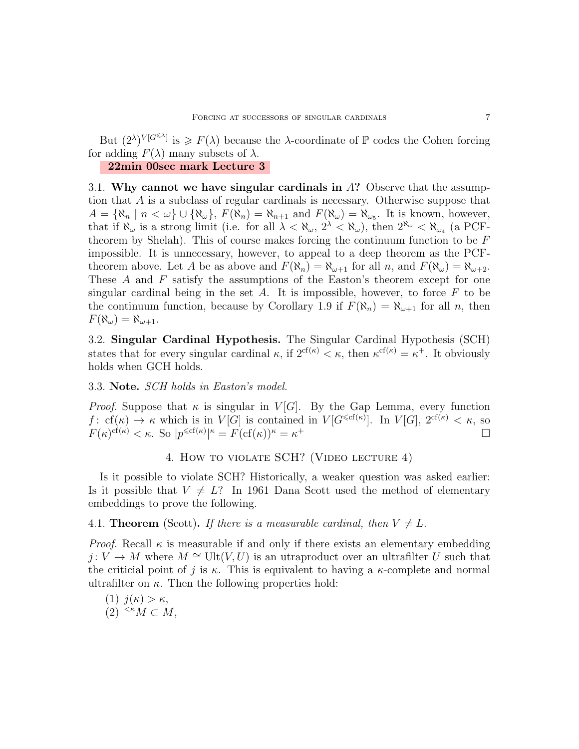But  $(2^{\lambda})^{V[G^{\leq \lambda}]}$  is  $\geq F(\lambda)$  because the  $\lambda$ -coordinate of  $\mathbb P$  codes the Cohen forcing for adding  $F(\lambda)$  many subsets of  $\lambda$ .

# 22min 00sec mark Lecture 3

3.1. Why cannot we have singular cardinals in  $\Lambda$ ? Observe that the assumption that A is a subclass of regular cardinals is necessary. Otherwise suppose that  $A = {\aleph_n | n < \omega} \cup {\aleph_{\omega}}, F(\aleph_n) = \aleph_{n+1}$  and  $F(\aleph_{\omega}) = \aleph_{\omega_5}$ . It is known, however, that if  $\aleph_{\omega}$  is a strong limit (i.e. for all  $\lambda < \aleph_{\omega}$ ,  $2^{\lambda} < \aleph_{\omega}$ ), then  $2^{\aleph_{\omega}} < \aleph_{\omega_4}$  (a PCFtheorem by Shelah). This of course makes forcing the continuum function to be  $F$ impossible. It is unnecessary, however, to appeal to a deep theorem as the PCFtheorem above. Let A be as above and  $F(\aleph_n) = \aleph_{\omega+1}$  for all n, and  $F(\aleph_{\omega}) = \aleph_{\omega+2}$ . These  $A$  and  $F$  satisfy the assumptions of the Easton's theorem except for one singular cardinal being in the set A. It is impossible, however, to force  $F$  to be the continuum function, because by Corollary 1.9 if  $F(\aleph_n) = \aleph_{\omega+1}$  for all n, then  $F(\aleph_\omega)=\aleph_{\omega+1}.$ 

3.2. Singular Cardinal Hypothesis. The Singular Cardinal Hypothesis (SCH) states that for every singular cardinal  $\kappa$ , if  $2^{\text{cf}(\kappa)} < \kappa$ , then  $\kappa^{\text{cf}(\kappa)} = \kappa^+$ . It obviously holds when GCH holds.

# 3.3. Note. SCH holds in Easton's model.

*Proof.* Suppose that  $\kappa$  is singular in  $V[G]$ . By the Gap Lemma, every function f: cf( $\kappa$ )  $\rightarrow \kappa$  which is in  $V[G]$  is contained in  $V[G^{\leqslant cf(\kappa)}]$ . In  $V[G]$ ,  $2^{cf(\kappa)} < \kappa$ , so  $F(\kappa)^{\text{cf}(\kappa)} < \kappa$ . So  $|p^{\leq \text{cf}(\kappa)}|^{\kappa} = F(\text{cf}(\kappa))^{\kappa} = \kappa^+$ 

# 4. How to violate SCH? (Video lecture 4)

Is it possible to violate SCH? Historically, a weaker question was asked earlier: Is it possible that  $V \neq L$ ? In 1961 Dana Scott used the method of elementary embeddings to prove the following.

## 4.1. **Theorem** (Scott). If there is a measurable cardinal, then  $V \neq L$ .

*Proof.* Recall  $\kappa$  is measurable if and only if there exists an elementary embedding  $j: V \to M$  where  $M \cong \text{Ult}(V, U)$  is an utraproduct over an ultrafilter U such that the criticial point of j is  $\kappa$ . This is equivalent to having a  $\kappa$ -complete and normal ultrafilter on  $\kappa$ . Then the following properties hold:

(1) 
$$
j(\kappa) > \kappa
$$
,  
(2)  $^{<\kappa}M \subset M$ ,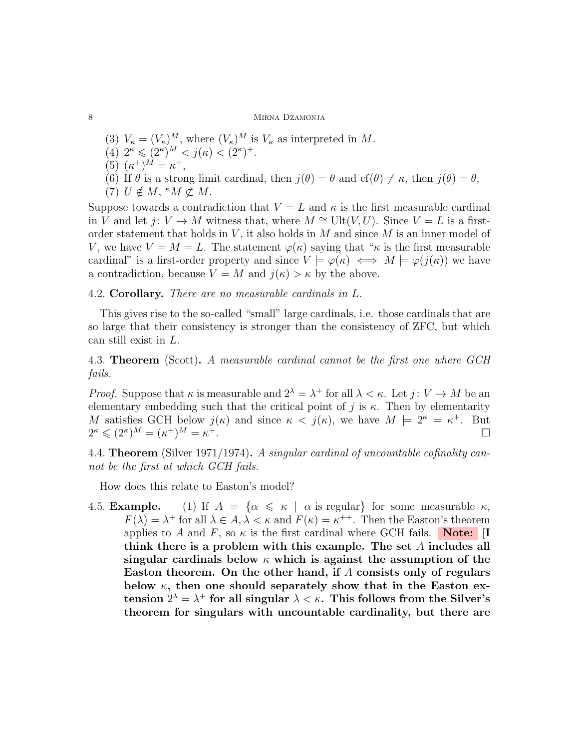- (3)  $V_{\kappa} = (V_{\kappa})^M$ , where  $(V_{\kappa})^M$  is  $V_{\kappa}$  as interpreted in M.
- (4)  $2^{\kappa} \leqslant (2^{\kappa})^M < j(\kappa) < (2^{\kappa})^+.$
- (5)  $(\kappa^+)^M = \kappa^+,$
- (6) If  $\theta$  is a strong limit cardinal, then  $j(\theta) = \theta$  and  $cf(\theta) \neq \kappa$ , then  $j(\theta) = \theta$ ,
- (7)  $U \notin M$ , " $M \not\subset M$ .

Suppose towards a contradiction that  $V = L$  and  $\kappa$  is the first measurable cardinal in V and let  $j: V \to M$  witness that, where  $M \cong \text{Ult}(V, U)$ . Since  $V = L$  is a firstorder statement that holds in  $V$ , it also holds in  $M$  and since  $M$  is an inner model of V, we have  $V = M = L$ . The statement  $\varphi(\kappa)$  saying that " $\kappa$  is the first measurable cardinal" is a first-order property and since  $V \models \varphi(\kappa) \iff M \models \varphi(j(\kappa))$  we have a contradiction, because  $V = M$  and  $j(\kappa) > \kappa$  by the above.

4.2. Corollary. There are no measurable cardinals in L.

This gives rise to the so-called "small" large cardinals, i.e. those cardinals that are so large that their consistency is stronger than the consistency of ZFC, but which can still exist in L.

4.3. **Theorem** (Scott). A measurable cardinal cannot be the first one where GCH fails.

*Proof.* Suppose that  $\kappa$  is measurable and  $2^{\lambda} = \lambda^+$  for all  $\lambda < \kappa$ . Let  $j: V \to M$  be an elementary embedding such that the critical point of j is  $\kappa$ . Then by elementarity M satisfies GCH below  $j(\kappa)$  and since  $\kappa < j(\kappa)$ , we have  $M \models 2^{\kappa} = \kappa^+$ . But  $2^{\kappa} \leqslant (2^{\kappa})^M = (\kappa^+)^M = \kappa$ <sup>+</sup>.

4.4. Theorem (Silver 1971/1974). A singular cardinal of uncountable cofinality cannot be the first at which GCH fails.

How does this relate to Easton's model?

4.5. **Example.** (1) If  $A = \{ \alpha \leq \kappa \mid \alpha \text{ is regular} \}$  for some measurable  $\kappa$ ,  $F(\lambda) = \lambda^+$  for all  $\lambda \in A$ ,  $\lambda < \kappa$  and  $F(\kappa) = \kappa^{++}$ . Then the Easton's theorem applies to A and F, so  $\kappa$  is the first cardinal where GCH fails. Note: [I think there is a problem with this example. The set A includes all singular cardinals below  $\kappa$  which is against the assumption of the Easton theorem. On the other hand, if A consists only of regulars below  $\kappa$ , then one should separately show that in the Easton extension  $2^{\lambda} = \lambda^+$  for all singular  $\lambda < \kappa$ . This follows from the Silver's theorem for singulars with uncountable cardinality, but there are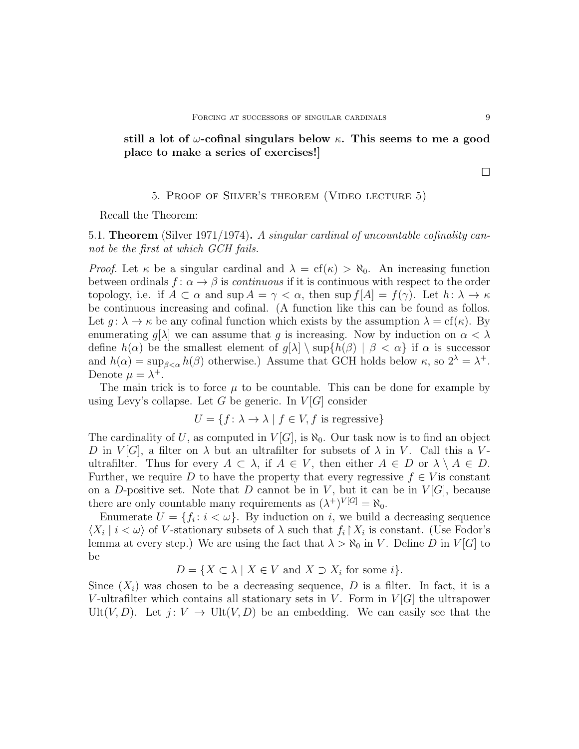still a lot of  $\omega$ -cofinal singulars below  $\kappa$ . This seems to me a good place to make a series of exercises!]

#### 5. Proof of Silver's theorem (Video lecture 5)

Recall the Theorem:

5.1. Theorem (Silver 1971/1974). A singular cardinal of uncountable cofinality cannot be the first at which GCH fails.

*Proof.* Let  $\kappa$  be a singular cardinal and  $\lambda = cf(\kappa) > \aleph_0$ . An increasing function between ordinals  $f: \alpha \to \beta$  is *continuous* if it is continuous with respect to the order topology, i.e. if  $A \subset \alpha$  and sup  $A = \gamma < \alpha$ , then sup  $f[A] = f(\gamma)$ . Let  $h: \lambda \to \kappa$ be continuous increasing and cofinal. (A function like this can be found as follos. Let  $g: \lambda \to \kappa$  be any cofinal function which exists by the assumption  $\lambda = cf(\kappa)$ . By enumerating  $g[\lambda]$  we can assume that g is increasing. Now by induction on  $\alpha < \lambda$ define  $h(\alpha)$  be the smallest element of  $g[\lambda] \setminus \sup\{h(\beta) | \beta < \alpha\}$  if  $\alpha$  is successor and  $h(\alpha) = \sup_{\beta < \alpha} h(\beta)$  otherwise.) Assume that GCH holds below  $\kappa$ , so  $2^{\lambda} = \lambda^+$ . Denote  $\mu = \lambda^+$ .

The main trick is to force  $\mu$  to be countable. This can be done for example by using Levy's collapse. Let G be generic. In  $V[G]$  consider

$$
U = \{ f \colon \lambda \to \lambda \mid f \in V, f \text{ is regressive} \}
$$

The cardinality of U, as computed in  $V[G]$ , is  $\aleph_0$ . Our task now is to find an object D in  $V[G]$ , a filter on  $\lambda$  but an ultrafilter for subsets of  $\lambda$  in V. Call this a Vultrafilter. Thus for every  $A \subset \lambda$ , if  $A \in V$ , then either  $A \in D$  or  $\lambda \setminus A \in D$ . Further, we require D to have the property that every regressive  $f \in V$  is constant on a D-positive set. Note that D cannot be in V, but it can be in  $V[G]$ , because there are only countable many requirements as  $(\lambda^+)^{V[G]} = \aleph_0$ .

Enumerate  $U = \{f_i : i < \omega\}$ . By induction on i, we build a decreasing sequence  $\langle X_i | i < \omega \rangle$  of V-stationary subsets of  $\lambda$  such that  $f_i | X_i$  is constant. (Use Fodor's lemma at every step.) We are using the fact that  $\lambda > \aleph_0$  in V. Define D in V[G] to be

 $D = \{X \subset \lambda \mid X \in V \text{ and } X \supset X_i \text{ for some } i\}.$ 

Since  $(X_i)$  was chosen to be a decreasing sequence, D is a filter. In fact, it is a V-ultrafilter which contains all stationary sets in V. Form in  $V[G]$  the ultrapower Ult $(V, D)$ . Let  $j: V \to \text{Ult}(V, D)$  be an embedding. We can easily see that the

 $\Box$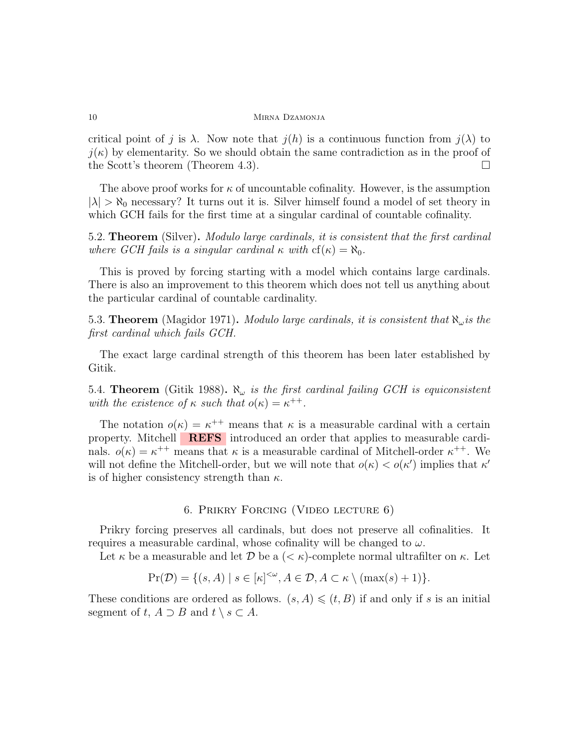critical point of j is  $\lambda$ . Now note that  $j(h)$  is a continuous function from  $j(\lambda)$  to  $j(\kappa)$  by elementarity. So we should obtain the same contradiction as in the proof of the Scott's theorem (Theorem 4.3).  $\Box$ 

The above proof works for  $\kappa$  of uncountable cofinality. However, is the assumption  $|\lambda| > \aleph_0$  necessary? It turns out it is. Silver himself found a model of set theory in which GCH fails for the first time at a singular cardinal of countable cofinality.

5.2. Theorem (Silver). Modulo large cardinals, it is consistent that the first cardinal where GCH fails is a singular cardinal  $\kappa$  with  $cf(\kappa) = \aleph_0$ .

This is proved by forcing starting with a model which contains large cardinals. There is also an improvement to this theorem which does not tell us anything about the particular cardinal of countable cardinality.

5.3. Theorem (Magidor 1971). Modulo large cardinals, it is consistent that  $\aleph_{\omega}$  is the first cardinal which fails GCH.

The exact large cardinal strength of this theorem has been later established by Gitik.

5.4. Theorem (Gitik 1988).  $\aleph_{\omega}$  is the first cardinal failing GCH is equiconsistent with the existence of  $\kappa$  such that  $o(\kappa) = \kappa^{++}$ .

The notation  $o(\kappa) = \kappa^{++}$  means that  $\kappa$  is a measurable cardinal with a certain property. Mitchell **REFS** introduced an order that applies to measurable cardinals.  $o(\kappa) = \kappa^{++}$  means that  $\kappa$  is a measurable cardinal of Mitchell-order  $\kappa^{++}$ . We will not define the Mitchell-order, but we will note that  $o(\kappa) < o(\kappa')$  implies that  $\kappa'$ is of higher consistency strength than  $\kappa$ .

## 6. Prikry Forcing (Video lecture 6)

Prikry forcing preserves all cardinals, but does not preserve all cofinalities. It requires a measurable cardinal, whose cofinality will be changed to  $\omega$ .

Let  $\kappa$  be a measurable and let D be a  $( $\kappa$ )-complete normal ultrafilter on  $\kappa$ . Let$ 

$$
Pr(\mathcal{D}) = \{ (s, A) \mid s \in [\kappa]^{<\omega}, A \in \mathcal{D}, A \subset \kappa \setminus (\max(s) + 1) \}.
$$

These conditions are ordered as follows.  $(s, A) \leq (t, B)$  if and only if s is an initial segment of  $t, A \supset B$  and  $t \setminus s \subset A$ .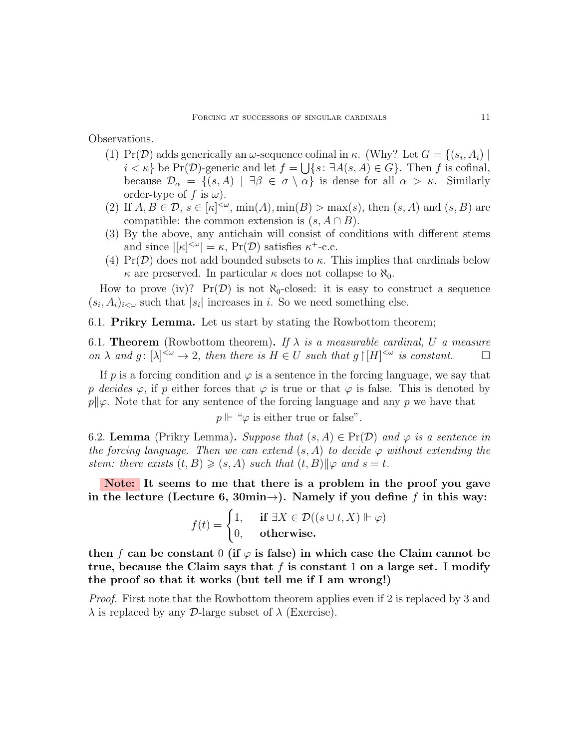Observations.

- (1) Pr(D) adds generically an  $\omega$ -sequence cofinal in  $\kappa$ . (Why? Let  $G = \{(s_i, A_i) \mid$  $i < \kappa$  be Pr(D)-generic and let  $f = \bigcup \{s : \exists A(s, A) \in G\}$ . Then f is cofinal, because  $\mathcal{D}_{\alpha} = \{(s, A) \mid \exists \beta \in \sigma \setminus \alpha\}$  is dense for all  $\alpha > \kappa$ . Similarly order-type of f is  $\omega$ ).
- (2) If  $A, B \in \mathcal{D}, s \in [\kappa]^{<\omega}$ ,  $\min(A), \min(B) > \max(s),$  then  $(s, A)$  and  $(s, B)$  are compatible: the common extension is  $(s, A \cap B)$ .
- (3) By the above, any antichain will consist of conditions with different stems and since  $|[\kappa]^{<\omega}| = \kappa$ , Pr(D) satisfies  $\kappa^+$ -c.c.
- (4)  $Pr(\mathcal{D})$  does not add bounded subsets to  $\kappa$ . This implies that cardinals below  $\kappa$  are preserved. In particular  $\kappa$  does not collapse to  $\aleph_0$ .

How to prove (iv)?  $Pr(D)$  is not  $\aleph_0$ -closed: it is easy to construct a sequence  $(s_i, A_i)_{i < \omega}$  such that  $|s_i|$  increases in i. So we need something else.

6.1. Prikry Lemma. Let us start by stating the Rowbottom theorem;

6.1. **Theorem** (Rowbottom theorem). If  $\lambda$  is a measurable cardinal, U a measure on  $\lambda$  and  $g: [\lambda]^{<\omega} \to 2$ , then there is  $H \in U$  such that  $g \upharpoonright [H]^{<\omega}$  is constant.

If p is a forcing condition and  $\varphi$  is a sentence in the forcing language, we say that p decides  $\varphi$ , if p either forces that  $\varphi$  is true or that  $\varphi$  is false. This is denoted by  $p\|\varphi$ . Note that for any sentence of the forcing language and any p we have that

 $p \Vdash \text{``}\varphi$  is either true or false".

6.2. Lemma (Prikry Lemma). Suppose that  $(s, A) \in Pr(\mathcal{D})$  and  $\varphi$  is a sentence in the forcing language. Then we can extend  $(s, A)$  to decide  $\varphi$  without extending the stem: there exists  $(t, B) \geq (s, A)$  such that  $(t, B)$  $\|\varphi\|$  and  $s = t$ .

Note: It seems to me that there is a problem in the proof you gave in the lecture (Lecture 6, 30min $\rightarrow$ ). Namely if you define f in this way:

$$
f(t) = \begin{cases} 1, & \text{if } \exists X \in \mathcal{D}((s \cup t, X) \Vdash \varphi) \\ 0, & \text{otherwise.} \end{cases}
$$

then f can be constant 0 (if  $\varphi$  is false) in which case the Claim cannot be true, because the Claim says that  $f$  is constant 1 on a large set. I modify the proof so that it works (but tell me if I am wrong!)

*Proof.* First note that the Rowbottom theorem applies even if 2 is replaced by 3 and  $\lambda$  is replaced by any D-large subset of  $\lambda$  (Exercise).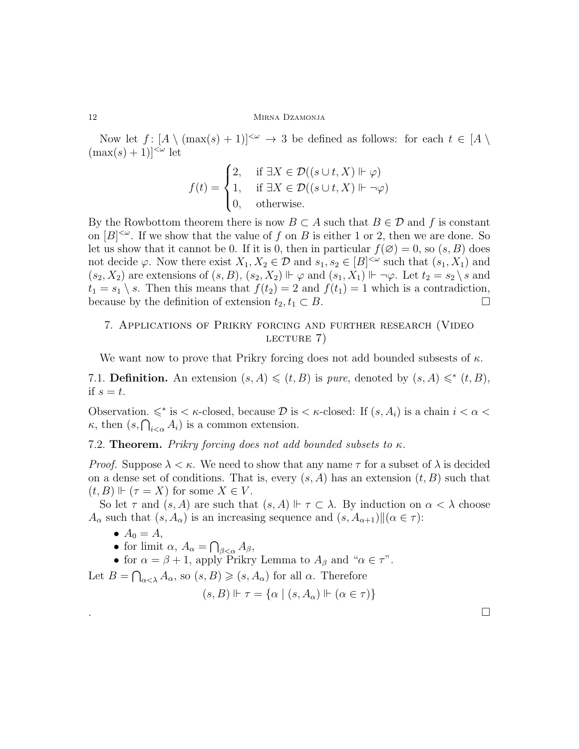#### 12 MIRNA DZAMONJA

Now let  $f: [A \setminus (\max(s) + 1)]^{\lt \omega} \to 3$  be defined as follows: for each  $t \in [A \setminus \mathbb{R}]$  $(\max(s) + 1)|<sup>{\omega}</sup>$  let

$$
f(t) = \begin{cases} 2, & \text{if } \exists X \in \mathcal{D}((s \cup t, X) \Vdash \varphi) \\ 1, & \text{if } \exists X \in \mathcal{D}((s \cup t, X) \Vdash \neg \varphi) \\ 0, & \text{otherwise.} \end{cases}
$$

By the Rowbottom theorem there is now  $B \subset A$  such that  $B \in \mathcal{D}$  and f is constant on  $[B]^{<\omega}$ . If we show that the value of f on B is either 1 or 2, then we are done. So let us show that it cannot be 0. If it is 0, then in particular  $f(\emptyset) = 0$ , so  $(s, B)$  does not decide  $\varphi$ . Now there exist  $X_1, X_2 \in \mathcal{D}$  and  $s_1, s_2 \in [B]^{<\omega}$  such that  $(s_1, X_1)$  and  $(s_2, X_2)$  are extensions of  $(s, B)$ ,  $(s_2, X_2) \Vdash \varphi$  and  $(s_1, X_1) \Vdash \neg \varphi$ . Let  $t_2 = s_2 \setminus s$  and  $t_1 = s_1 \setminus s$ . Then this means that  $f(t_2) = 2$  and  $f(t_1) = 1$  which is a contradiction, because by the definition of extension  $t_2, t_1 \subset B$ .

# 7. Applications of Prikry forcing and further research (Video LECTURE 7)

We want now to prove that Prikry forcing does not add bounded subsests of  $\kappa$ .

7.1. **Definition.** An extension  $(s, A) \leq (t, B)$  is *pure*, denoted by  $(s, A) \leq^* (t, B)$ , if  $s=t$ .

Observation.  $\leq$ <sup>∗</sup> is  $\lt$  *κ*-closed, because  $\mathcal D$  is  $\lt$  *κ*-closed: If  $(s, A_i)$  is a chain  $i < \alpha <$  $\kappa$ , then  $(s, \bigcap_{i < \alpha} A_i)$  is a common extension.

7.2. **Theorem.** Prikry forcing does not add bounded subsets to  $\kappa$ .

*Proof.* Suppose  $\lambda < \kappa$ . We need to show that any name  $\tau$  for a subset of  $\lambda$  is decided on a dense set of conditions. That is, every  $(s, A)$  has an extension  $(t, B)$  such that  $(t, B) \Vdash (\tau = X)$  for some  $X \in V$ .

So let  $\tau$  and  $(s, A)$  are such that  $(s, A) \Vdash \tau \subset \lambda$ . By induction on  $\alpha < \lambda$  choose  $A_{\alpha}$  such that  $(s, A_{\alpha})$  is an increasing sequence and  $(s, A_{\alpha+1})\|(\alpha \in \tau)$ :

- $A_0 = A$ ,
- for limit  $\alpha$ ,  $A_{\alpha} = \bigcap_{\beta < \alpha} A_{\beta}$ ,

• for  $\alpha = \beta + 1$ , apply Prikry Lemma to  $A_{\beta}$  and " $\alpha \in \tau$ ".

Let  $B = \bigcap_{\alpha < \lambda} A_{\alpha}$ , so  $(s, B) \geqslant (s, A_{\alpha})$  for all  $\alpha$ . Therefore

 $(s, B) \Vdash \tau = \{\alpha \mid (s, A_{\alpha}) \Vdash (\alpha \in \tau)\}\$ 

.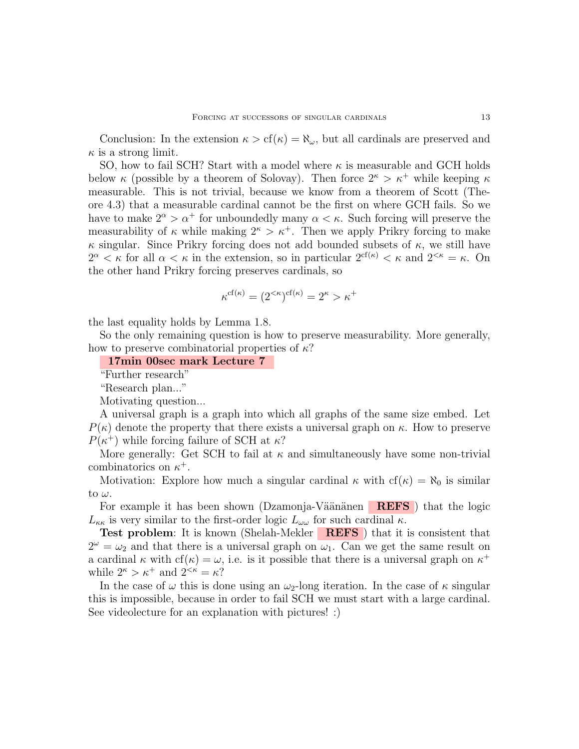Conclusion: In the extension  $\kappa > cf(\kappa) = \aleph_\omega$ , but all cardinals are preserved and  $\kappa$  is a strong limit.

SO, how to fail SCH? Start with a model where  $\kappa$  is measurable and GCH holds below  $\kappa$  (possible by a theorem of Solovay). Then force  $2^{\kappa} > \kappa^+$  while keeping  $\kappa$ measurable. This is not trivial, because we know from a theorem of Scott (Theore 4.3) that a measurable cardinal cannot be the first on where GCH fails. So we have to make  $2^{\alpha} > \alpha^+$  for unboundedly many  $\alpha < \kappa$ . Such forcing will preserve the measurability of  $\kappa$  while making  $2^{\kappa} > \kappa^+$ . Then we apply Prikry forcing to make  $\kappa$  singular. Since Prikry forcing does not add bounded subsets of  $\kappa$ , we still have  $2^{\alpha} < \kappa$  for all  $\alpha < \kappa$  in the extension, so in particular  $2^{\varsigma f(\kappa)} < \kappa$  and  $2^{<\kappa} = \kappa$ . On the other hand Prikry forcing preserves cardinals, so

$$
\kappa^{\mathrm{cf}(\kappa)} = (2^{<\kappa})^{\mathrm{cf}(\kappa)} = 2^{\kappa} > \kappa^+
$$

the last equality holds by Lemma 1.8.

So the only remaining question is how to preserve measurability. More generally, how to preserve combinatorial properties of  $\kappa$ ?

17min 00sec mark Lecture 7

"Further research"

"Research plan..."

Motivating question...

A universal graph is a graph into which all graphs of the same size embed. Let  $P(\kappa)$  denote the property that there exists a universal graph on  $\kappa$ . How to preserve  $P(\kappa^+)$  while forcing failure of SCH at  $\kappa$ ?

More generally: Get SCH to fail at  $\kappa$  and simultaneously have some non-trivial combinatorics on  $\kappa^+$ .

Motivation: Explore how much a singular cardinal  $\kappa$  with  $cf(\kappa) = \aleph_0$  is similar to  $\omega$ .

For example it has been shown (Dzamonja-Väänänen  $REFS$ ) that the logic  $L_{\kappa\kappa}$  is very similar to the first-order logic  $L_{\omega\omega}$  for such cardinal  $\kappa$ .

**Test problem**: It is known (Shelah-Mekler **REFS**) that it is consistent that  $2^{\omega} = \omega_2$  and that there is a universal graph on  $\omega_1$ . Can we get the same result on a cardinal  $\kappa$  with  $cf(\kappa) = \omega$ , i.e. is it possible that there is a universal graph on  $\kappa^+$ while  $2^{\kappa} > \kappa^+$  and  $2^{<\kappa} = \kappa$ ?

In the case of  $\omega$  this is done using an  $\omega_2$ -long iteration. In the case of  $\kappa$  singular this is impossible, because in order to fail SCH we must start with a large cardinal. See videolecture for an explanation with pictures! :)